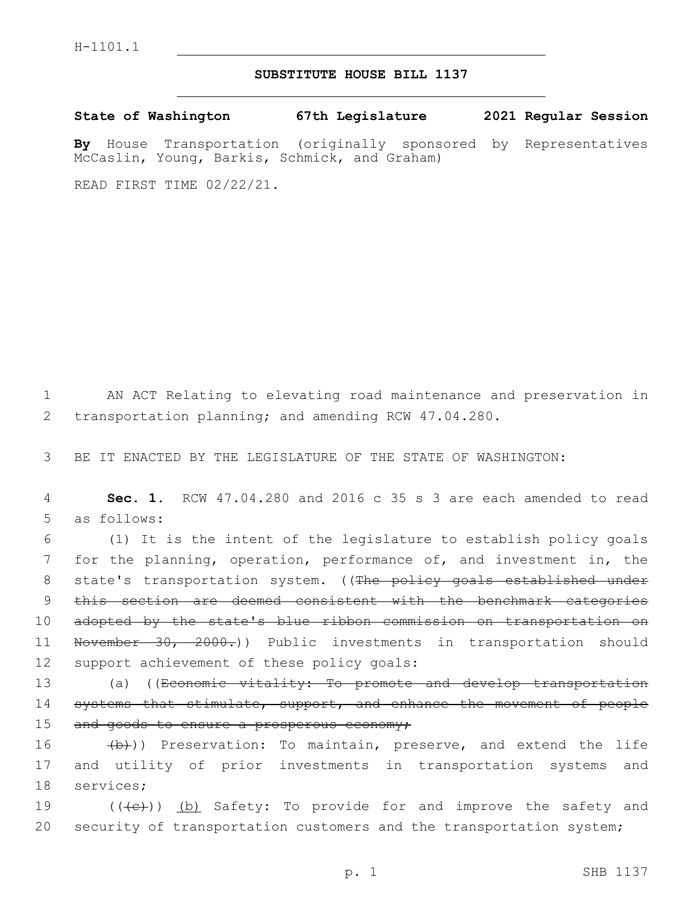## **SUBSTITUTE HOUSE BILL 1137**

**State of Washington 67th Legislature 2021 Regular Session**

**By** House Transportation (originally sponsored by Representatives McCaslin, Young, Barkis, Schmick, and Graham)

READ FIRST TIME 02/22/21.

1 AN ACT Relating to elevating road maintenance and preservation in 2 transportation planning; and amending RCW 47.04.280.

3 BE IT ENACTED BY THE LEGISLATURE OF THE STATE OF WASHINGTON:

4 **Sec. 1.** RCW 47.04.280 and 2016 c 35 s 3 are each amended to read 5 as follows:

6 (1) It is the intent of the legislature to establish policy goals 7 for the planning, operation, performance of, and investment in, the 8 state's transportation system. ((The policy goals established under 9 this section are deemed consistent with the benchmark categories 10 adopted by the state's blue ribbon commission on transportation on 11 November 30, 2000.)) Public investments in transportation should 12 support achievement of these policy goals:

13 (a) ((Economic vitality: To promote and develop transportation 14 systems that stimulate, support, and enhance the movement of people 15 and goods to ensure a prosperous economy;

16 (b)) Preservation: To maintain, preserve, and extend the life 17 and utility of prior investments in transportation systems and 18 services;

19 (((e)) (b) Safety: To provide for and improve the safety and 20 security of transportation customers and the transportation system;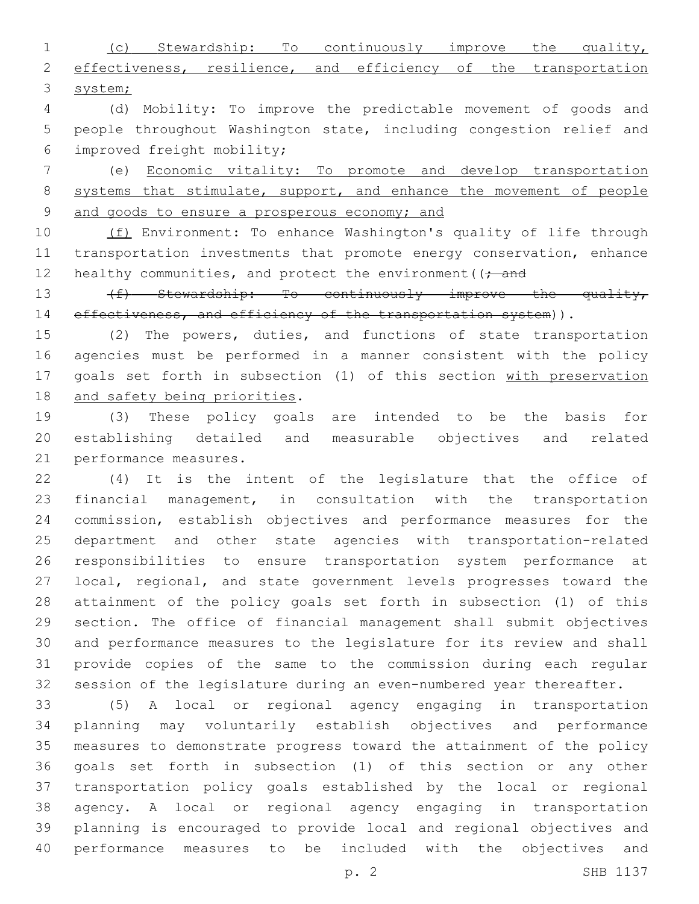(c) Stewardship: To continuously improve the quality, 2 effectiveness, resilience, and efficiency of the transportation system;

 (d) Mobility: To improve the predictable movement of goods and people throughout Washington state, including congestion relief and improved freight mobility;6

 (e) Economic vitality: To promote and develop transportation 8 systems that stimulate, support, and enhance the movement of people and goods to ensure a prosperous economy; and

10 (f) Environment: To enhance Washington's quality of life through transportation investments that promote energy conservation, enhance 12 healthy communities, and protect the environment ( $\rightarrow$  and

13 (f) Stewardship: To continuously improve the quality, 14 effectiveness, and efficiency of the transportation system)).

 (2) The powers, duties, and functions of state transportation agencies must be performed in a manner consistent with the policy goals set forth in subsection (1) of this section with preservation 18 and safety being priorities.

 (3) These policy goals are intended to be the basis for establishing detailed and measurable objectives and related 21 performance measures.

 (4) It is the intent of the legislature that the office of financial management, in consultation with the transportation commission, establish objectives and performance measures for the department and other state agencies with transportation-related responsibilities to ensure transportation system performance at local, regional, and state government levels progresses toward the attainment of the policy goals set forth in subsection (1) of this section. The office of financial management shall submit objectives and performance measures to the legislature for its review and shall provide copies of the same to the commission during each regular session of the legislature during an even-numbered year thereafter.

 (5) A local or regional agency engaging in transportation planning may voluntarily establish objectives and performance measures to demonstrate progress toward the attainment of the policy goals set forth in subsection (1) of this section or any other transportation policy goals established by the local or regional agency. A local or regional agency engaging in transportation planning is encouraged to provide local and regional objectives and performance measures to be included with the objectives and